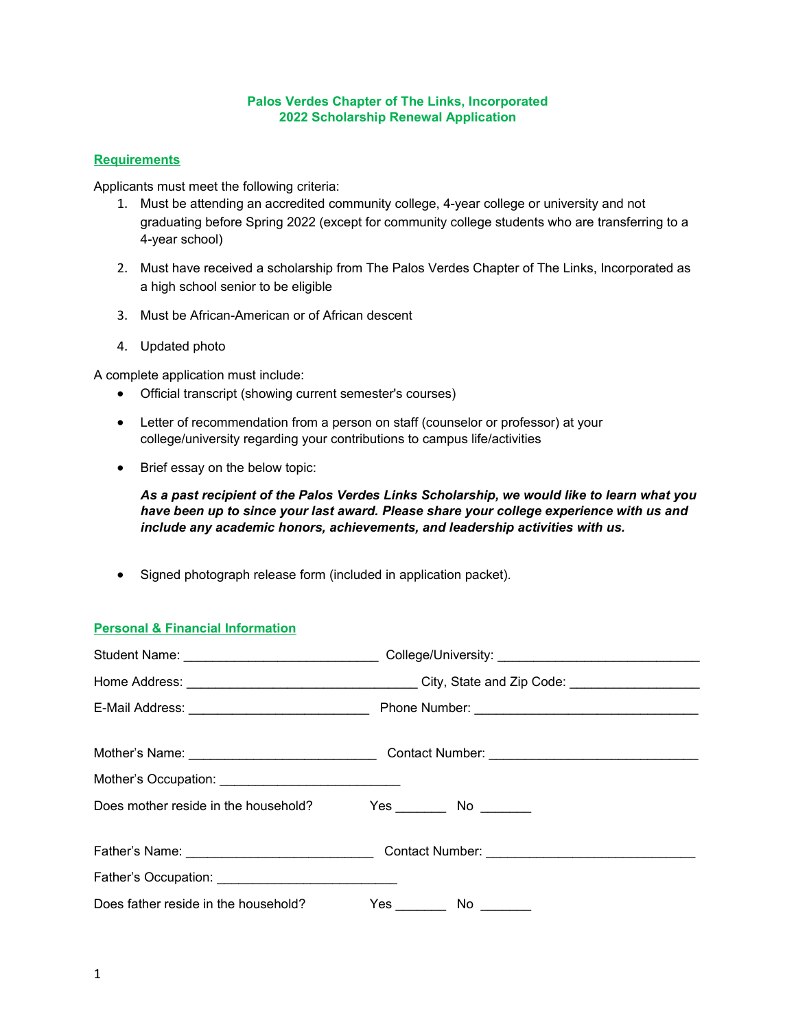#### **Palos Verdes Chapter of The Links, Incorporated 2022 Scholarship Renewal Application**

### **Requirements**

Applicants must meet the following criteria:

- 1. Must be attending an accredited community college, 4-year college or university and not graduating before Spring 2022 (except for community college students who are transferring to a 4-year school)
- 2. Must have received a scholarship from The Palos Verdes Chapter of The Links, Incorporated as a high school senior to be eligible
- 3. Must be African-American or of African descent
- 4. Updated photo

A complete application must include:

- Official transcript (showing current semester's courses)
- Letter of recommendation from a person on staff (counselor or professor) at your college/university regarding your contributions to campus life/activities
- Brief essay on the below topic:

*As a past recipient of the Palos Verdes Links Scholarship, we would like to learn what you have been up to since your last award. Please share your college experience with us and include any academic honors, achievements, and leadership activities with us.*

• Signed photograph release form (included in application packet).

# **Personal & Financial Information**

| Mother's Occupation: _________________________________ |                          |  |  |  |
|--------------------------------------------------------|--------------------------|--|--|--|
| Does mother reside in the household?                   | Yes ________ No ________ |  |  |  |
|                                                        |                          |  |  |  |
|                                                        |                          |  |  |  |
| Does father reside in the household?                   | Yes ________ No ________ |  |  |  |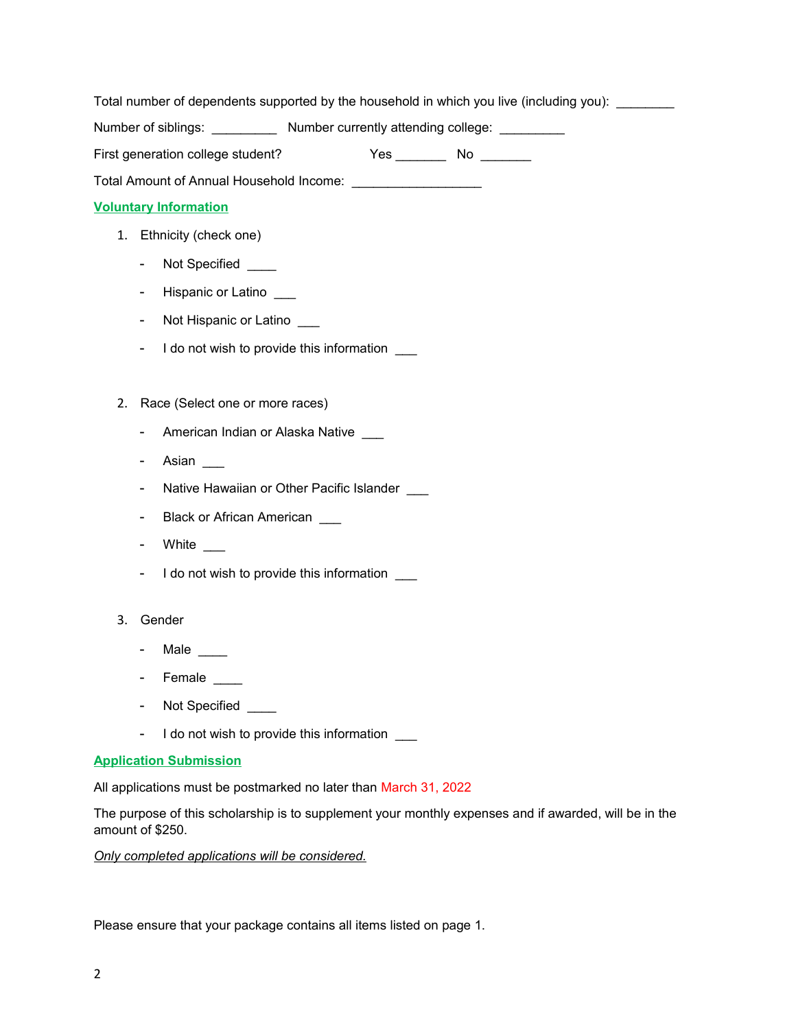Total number of dependents supported by the household in which you live (including you): \_\_\_\_\_\_\_\_

Number of siblings: \_\_\_\_\_\_\_\_\_\_\_ Number currently attending college: \_\_\_\_\_\_\_\_\_\_

| First generation college student?<br>No<br>Yes. |  |  |  |
|-------------------------------------------------|--|--|--|
|                                                 |  |  |  |

Total Amount of Annual Household Income:

## **Voluntary Information**

- 1. Ethnicity (check one)
	- Not Specified \_\_\_\_
	- Hispanic or Latino \_\_\_
	- Not Hispanic or Latino \_\_\_
	- I do not wish to provide this information
- 2. Race (Select one or more races)
	- American Indian or Alaska Native
	- Asian
	- Native Hawaiian or Other Pacific Islander
	- Black or African American \_\_\_
	- White
	- I do not wish to provide this information
- 3. Gender
	- Male \_\_\_\_
	- Female
	- Not Specified \_\_\_\_\_
	- I do not wish to provide this information  $\qquad \qquad$

### **Application Submission**

All applications must be postmarked no later than March 31, 2022

The purpose of this scholarship is to supplement your monthly expenses and if awarded, will be in the amount of \$250.

*Only completed applications will be considered.*

Please ensure that your package contains all items listed on page 1.